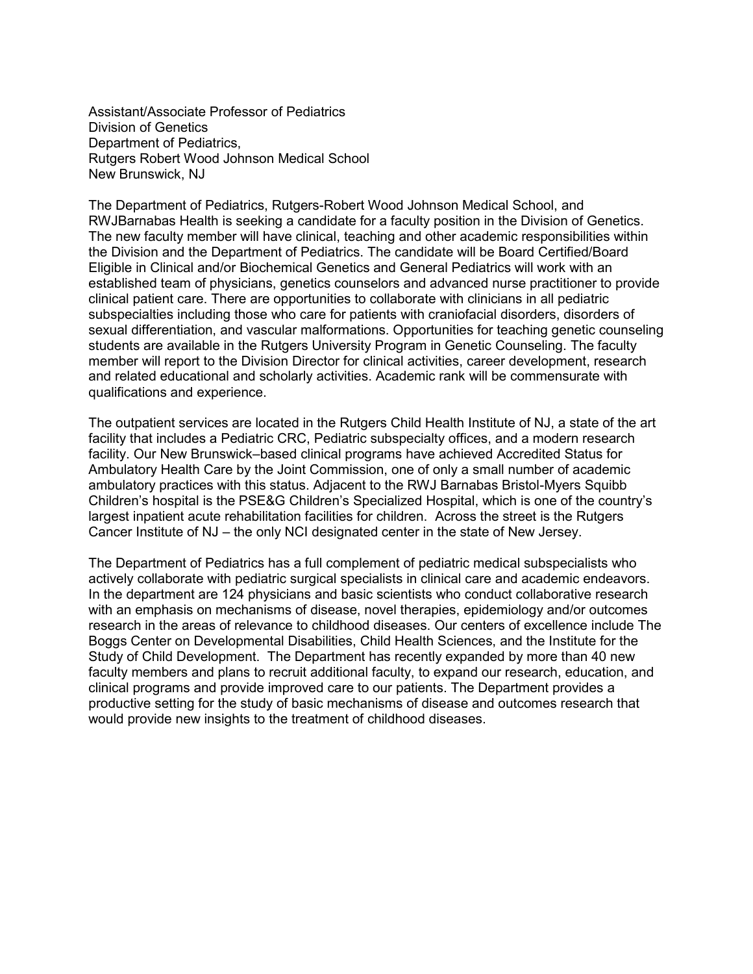Assistant/Associate Professor of Pediatrics Division of Genetics Department of Pediatrics, Rutgers Robert Wood Johnson Medical School New Brunswick, NJ

The Department of Pediatrics, Rutgers-Robert Wood Johnson Medical School, and RWJBarnabas Health is seeking a candidate for a faculty position in the Division of Genetics. The new faculty member will have clinical, teaching and other academic responsibilities within the Division and the Department of Pediatrics. The candidate will be Board Certified/Board Eligible in Clinical and/or Biochemical Genetics and General Pediatrics will work with an established team of physicians, genetics counselors and advanced nurse practitioner to provide clinical patient care. There are opportunities to collaborate with clinicians in all pediatric subspecialties including those who care for patients with craniofacial disorders, disorders of sexual differentiation, and vascular malformations. Opportunities for teaching genetic counseling students are available in the Rutgers University Program in Genetic Counseling. The faculty member will report to the Division Director for clinical activities, career development, research and related educational and scholarly activities. Academic rank will be commensurate with qualifications and experience.

The outpatient services are located in the Rutgers Child Health Institute of NJ, a state of the art facility that includes a Pediatric CRC, Pediatric subspecialty offices, and a modern research facility. Our New Brunswick–based clinical programs have achieved Accredited Status for Ambulatory Health Care by the Joint Commission, one of only a small number of academic ambulatory practices with this status. Adjacent to the RWJ Barnabas Bristol-Myers Squibb Children's hospital is the PSE&G Children's Specialized Hospital, which is one of the country's largest inpatient acute rehabilitation facilities for children. Across the street is the Rutgers Cancer Institute of NJ – the only NCI designated center in the state of New Jersey.

The Department of Pediatrics has a full complement of pediatric medical subspecialists who actively collaborate with pediatric surgical specialists in clinical care and academic endeavors. In the department are 124 physicians and basic scientists who conduct collaborative research with an emphasis on mechanisms of disease, novel therapies, epidemiology and/or outcomes research in the areas of relevance to childhood diseases. Our centers of excellence include The Boggs Center on Developmental Disabilities, Child Health Sciences, and the Institute for the Study of Child Development. The Department has recently expanded by more than 40 new faculty members and plans to recruit additional faculty, to expand our research, education, and clinical programs and provide improved care to our patients. The Department provides a productive setting for the study of basic mechanisms of disease and outcomes research that would provide new insights to the treatment of childhood diseases.